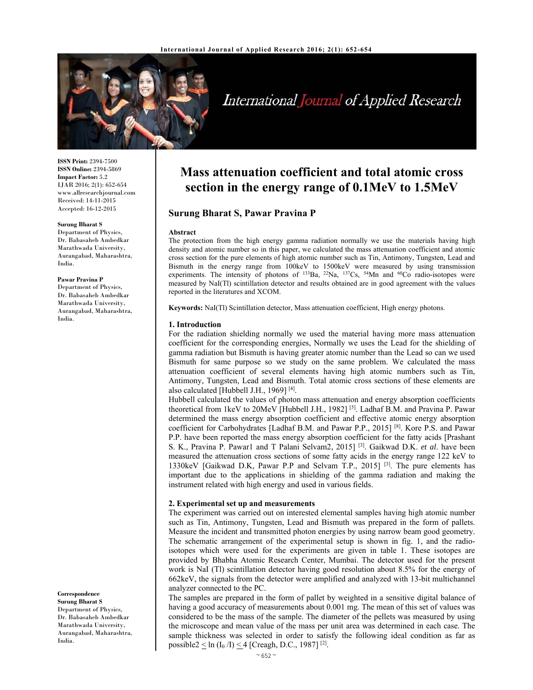

# International Journal of Applied Research

**ISSN Print:** 2394-7500 **ISSN Online:** 2394-5869 **Impact Factor:** 5.2 IJAR 2016; 2(1): 652-654 www.allresearchjournal.com Received: 14-11-2015 Accepted: 16-12-2015

#### **Surung Bharat S**

Department of Physics, Dr. Babasaheb Ambedkar Marathwada University, Aurangabad, Maharashtra, India.

**Pawar Pravina P**  Department of Physics, Dr. Babasaheb Ambedkar Marathwada University, Aurangabad, Maharashtra, India.

**Correspondence Surung Bharat S**  Department of Physics, Dr. Babasaheb Ambedkar Marathwada University, Aurangabad, Maharashtra, India.

# **Mass attenuation coefficient and total atomic cross section in the energy range of 0.1MeV to 1.5MeV**

# **Surung Bharat S, Pawar Pravina P**

#### **Abstract**

The protection from the high energy gamma radiation normally we use the materials having high density and atomic number so in this paper, we calculated the mass attenuation coefficient and atomic cross section for the pure elements of high atomic number such as Tin, Antimony, Tungsten, Lead and Bismuth in the energy range from 100keV to 1500keV were measured by using transmission experiments. The intensity of photons of  $^{133}Ba$ ,  $^{22}Na$ ,  $^{137}Cs$ ,  $^{54}Mn$  and  $^{60}Co$  radio-isotopes were measured by NaI(Tl) scintillation detector and results obtained are in good agreement with the values reported in the literatures and XCOM.

**Keywords:** NaI(Tl) Scintillation detector, Mass attenuation coefficient, High energy photons.

# **1. Introduction**

For the radiation shielding normally we used the material having more mass attenuation coefficient for the corresponding energies, Normally we uses the Lead for the shielding of gamma radiation but Bismuth is having greater atomic number than the Lead so can we used Bismuth for same purpose so we study on the same problem. We calculated the mass attenuation coefficient of several elements having high atomic numbers such as Tin, Antimony, Tungsten, Lead and Bismuth. Total atomic cross sections of these elements are also calculated [Hubbell J.H., 1969] [4].

Hubbell calculated the values of photon mass attenuation and energy absorption coefficients theoretical from 1keV to 20MeV [Hubbell J.H., 1982] [5]. Ladhaf B.M. and Pravina P. Pawar determined the mass energy absorption coefficient and effective atomic energy absorption coefficient for Carbohydrates [Ladhaf B.M. and Pawar P.P., 2015] [8]. Kore P.S. and Pawar P.P. have been reported the mass energy absorption coefficient for the fatty acids [Prashant S. K., Pravina P. Pawar1 and T Palani Selvam2, 2015] [3]. Gaikwad D.K. *et al*. have been measured the attenuation cross sections of some fatty acids in the energy range 122 keV to 1330keV [Gaikwad D.K, Pawar P.P and Selvam T.P., 2015] [3]. The pure elements has important due to the applications in shielding of the gamma radiation and making the instrument related with high energy and used in various fields.

## **2. Experimental set up and measurements**

The experiment was carried out on interested elemental samples having high atomic number such as Tin, Antimony, Tungsten, Lead and Bismuth was prepared in the form of pallets. Measure the incident and transmitted photon energies by using narrow beam good geometry. The schematic arrangement of the experimental setup is shown in fig. 1, and the radioisotopes which were used for the experiments are given in table 1. These isotopes are provided by Bhabha Atomic Research Center, Mumbai. The detector used for the present work is NaI (Tl) scintillation detector having good resolution about 8.5% for the energy of 662keV, the signals from the detector were amplified and analyzed with 13-bit multichannel analyzer connected to the PC.

The samples are prepared in the form of pallet by weighted in a sensitive digital balance of having a good accuracy of measurements about 0.001 mg. The mean of this set of values was considered to be the mass of the sample. The diameter of the pellets was measured by using the microscope and mean value of the mass per unit area was determined in each case. The sample thickness was selected in order to satisfy the following ideal condition as far as possible2  $\leq$  ln (I<sub>0</sub> /I)  $\leq$  4 [Creagh, D.C., 1987]<sup>[2]</sup>.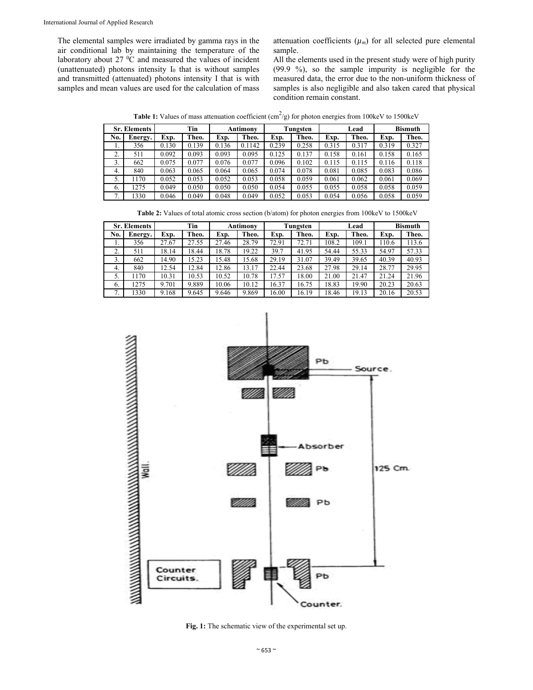The elemental samples were irradiated by gamma rays in the air conditional lab by maintaining the temperature of the laboratory about  $27 \text{ °C}$  and measured the values of incident (unattenuated) photons intensity  $I_0$  that is without samples and transmitted (attenuated) photons intensity I that is with samples and mean values are used for the calculation of mass

attenuation coefficients  $(\mu_m)$  for all selected pure elemental sample.

All the elements used in the present study were of high purity (99.9 %), so the sample impurity is negligible for the measured data, the error due to the non-uniform thickness of samples is also negligible and also taken cared that physical condition remain constant.

**Table 1:** Values of mass attenuation coefficient  $(cm^2/g)$  for photon energies from 100keV to 1500keV

| <b>Sr. Elements</b> |         | Tin   |       | Antimony |        | Tungsten |       | Lead  |       | <b>Bismuth</b> |       |
|---------------------|---------|-------|-------|----------|--------|----------|-------|-------|-------|----------------|-------|
| No.                 | Energy. | Exp.  | Theo. | Exp.     | Theo.  | Exp.     | Theo. | Exp.  | Theo. | Exp.           | Theo. |
| .,                  | 356     | 0.130 | 0.139 | 0.136    | 0.1142 | 0.239    | 0.258 | 0.315 | 0.317 | 0.319          | 0.327 |
| C<br>۷.             | 511     | 0.092 | 0.093 | 0.093    | 0.095  | 0.125    | 0.137 | 0.158 | 0.161 | 0.158          | 0.165 |
| 3.                  | 662     | 0.075 | 0.077 | 0.076    | 0.077  | 0.096    | 0.102 | 0.115 | 0.115 | 0.116          | 0.118 |
| 4.                  | 840     | 0.063 | 0.065 | 0.064    | 0.065  | 0.074    | 0.078 | 0.081 | 0.085 | 0.083          | 0.086 |
| 5.                  | 1170    | 0.052 | 0.053 | 0.052    | 0.053  | 0.058    | 0.059 | 0.061 | 0.062 | 0.061          | 0.069 |
| $\sigma$ .          | 1275    | 0.049 | 0.050 | 0.050    | 0.050  | 0.054    | 0.055 | 0.055 | 0.058 | 0.058          | 0.059 |
| 7.                  | 1330    | 0.046 | 0.049 | 0.048    | 0.049  | 0.052    | 0.053 | 0.054 | 0.056 | 0.058          | 0.059 |

**Table 2:** Values of total atomic cross section (b/atom) for photon energies from 100keV to 1500keV

| <b>Sr. Elements</b> |         | Tin   |       | <b>Antimony</b> |       | Tungsten |       | Lead  |       | <b>Bismuth</b> |       |
|---------------------|---------|-------|-------|-----------------|-------|----------|-------|-------|-------|----------------|-------|
| No.                 | Energy. | Exp.  | Theo. | Exp.            | Theo. | Exp.     | Theo. | Exp.  | Theo. | Exp.           | Theo. |
| 1.                  | 356     | 27.67 | 27.55 | 27.46           | 28.79 | 72.91    | 72.71 | 108.2 | 109.1 | 110.6          | 113.6 |
| 2.                  | 511     | 18.14 | 18.44 | 18.78           | 19.22 | 39.7     | 41.95 | 54.44 | 55.33 | 54.97          | 57.33 |
| 3.                  | 662     | 14.90 | 15.23 | 15.48           | 15.68 | 29.19    | 31.07 | 39.49 | 39.65 | 40.39          | 40.93 |
| 4.                  | 840     | 12.54 | 12.84 | 12.86           | 13.17 | 22.44    | 23.68 | 27.98 | 29.14 | 28.77          | 29.95 |
| 5.                  | 1170    | 10.31 | 10.53 | 10.52           | 10.78 | 17.57    | 18.00 | 21.00 | 21.47 | 21.24          | 21.96 |
| 6.                  | 1275    | 9.701 | 9.889 | 10.06           | 10.12 | 16.37    | 16.75 | 18.83 | 19.90 | 20.23          | 20.63 |
|                     | 1330    | 9.168 | 9.645 | 9.646           | 9.869 | 16.00    | 16.19 | 18.46 | 19.13 | 20.16          | 20.53 |



**Fig. 1:** The schematic view of the experimental set up.